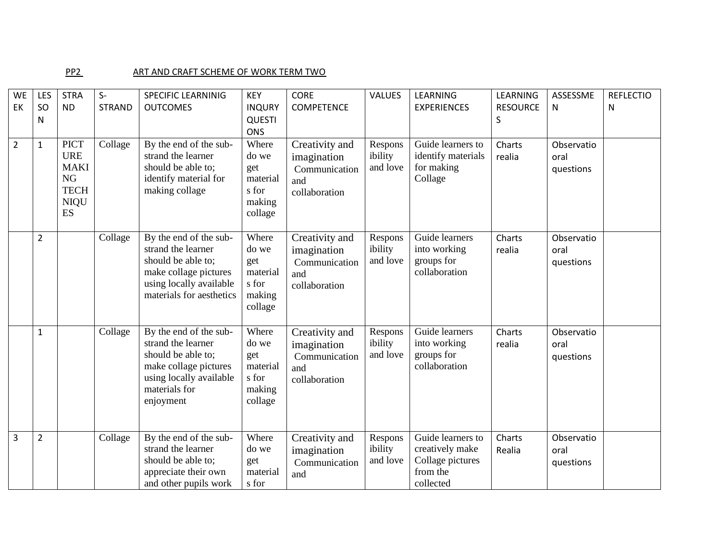## PP2 ART AND CRAFT SCHEME OF WORK TERM TWO

| <b>WE</b>      | LES            | <b>STRA</b>                                                                        | $S-$          | <b>SPECIFIC LEARNINIG</b>                                                                                                                            | <b>KEY</b>                                                      | <b>CORE</b>                                                            | <b>VALUES</b>                  | <b>LEARNING</b>                                                                   | LEARNING             | ASSESSME                        | <b>REFLECTIO</b> |
|----------------|----------------|------------------------------------------------------------------------------------|---------------|------------------------------------------------------------------------------------------------------------------------------------------------------|-----------------------------------------------------------------|------------------------------------------------------------------------|--------------------------------|-----------------------------------------------------------------------------------|----------------------|---------------------------------|------------------|
| EK             | SO<br>N        | <b>ND</b>                                                                          | <b>STRAND</b> | <b>OUTCOMES</b>                                                                                                                                      | <b>INQURY</b><br><b>QUESTI</b><br><b>ONS</b>                    | <b>COMPETENCE</b>                                                      |                                | <b>EXPERIENCES</b>                                                                | <b>RESOURCE</b><br>S | N.                              | N                |
| $\overline{2}$ | $\mathbf{1}$   | <b>PICT</b><br><b>URE</b><br><b>MAKI</b><br>NG<br><b>TECH</b><br><b>NIQU</b><br>ES | Collage       | By the end of the sub-<br>strand the learner<br>should be able to;<br>identify material for<br>making collage                                        | Where<br>do we<br>get<br>material<br>s for<br>making<br>collage | Creativity and<br>imagination<br>Communication<br>and<br>collaboration | Respons<br>ibility<br>and love | Guide learners to<br>identify materials<br>for making<br>Collage                  | Charts<br>realia     | Observatio<br>oral<br>questions |                  |
|                | $\overline{2}$ |                                                                                    | Collage       | By the end of the sub-<br>strand the learner<br>should be able to;<br>make collage pictures<br>using locally available<br>materials for aesthetics   | Where<br>do we<br>get<br>material<br>s for<br>making<br>collage | Creativity and<br>imagination<br>Communication<br>and<br>collaboration | Respons<br>ibility<br>and love | Guide learners<br>into working<br>groups for<br>collaboration                     | Charts<br>realia     | Observatio<br>oral<br>questions |                  |
|                | $\mathbf{1}$   |                                                                                    | Collage       | By the end of the sub-<br>strand the learner<br>should be able to;<br>make collage pictures<br>using locally available<br>materials for<br>enjoyment | Where<br>do we<br>get<br>material<br>s for<br>making<br>collage | Creativity and<br>imagination<br>Communication<br>and<br>collaboration | Respons<br>ibility<br>and love | Guide learners<br>into working<br>groups for<br>collaboration                     | Charts<br>realia     | Observatio<br>oral<br>questions |                  |
| 3              | $\overline{2}$ |                                                                                    | Collage       | By the end of the sub-<br>strand the learner<br>should be able to;<br>appreciate their own<br>and other pupils work                                  | Where<br>do we<br>get<br>material<br>s for                      | Creativity and<br>imagination<br>Communication<br>and                  | Respons<br>ibility<br>and love | Guide learners to<br>creatively make<br>Collage pictures<br>from the<br>collected | Charts<br>Realia     | Observatio<br>oral<br>questions |                  |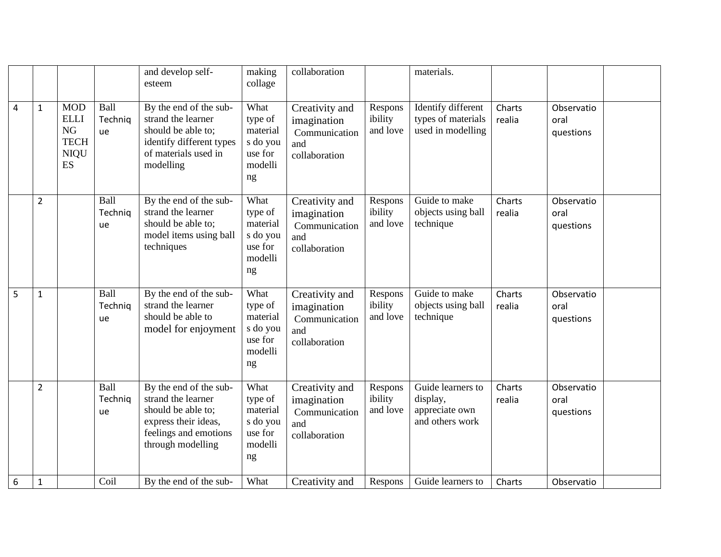|                  |                |                                                                                   |                       | and develop self-<br>esteem                                                                                                              | making<br>collage                                                   | collaboration                                                          |                                | materials.                                                         |                  |                                 |
|------------------|----------------|-----------------------------------------------------------------------------------|-----------------------|------------------------------------------------------------------------------------------------------------------------------------------|---------------------------------------------------------------------|------------------------------------------------------------------------|--------------------------------|--------------------------------------------------------------------|------------------|---------------------------------|
| $\overline{4}$   | 1              | <b>MOD</b><br><b>ELLI</b><br><b>NG</b><br><b>TECH</b><br><b>NIQU</b><br><b>ES</b> | Ball<br>Techniq<br>ue | By the end of the sub-<br>strand the learner<br>should be able to;<br>identify different types<br>of materials used in<br>modelling      | What<br>type of<br>material<br>s do you<br>use for<br>modelli<br>ng | Creativity and<br>imagination<br>Communication<br>and<br>collaboration | Respons<br>ibility<br>and love | Identify different<br>types of materials<br>used in modelling      | Charts<br>realia | Observatio<br>oral<br>questions |
|                  | $\overline{2}$ |                                                                                   | Ball<br>Technig<br>ue | By the end of the sub-<br>strand the learner<br>should be able to;<br>model items using ball<br>techniques                               | What<br>type of<br>material<br>s do you<br>use for<br>modelli<br>ng | Creativity and<br>imagination<br>Communication<br>and<br>collaboration | Respons<br>ibility<br>and love | Guide to make<br>objects using ball<br>technique                   | Charts<br>realia | Observatio<br>oral<br>questions |
| 5                | $\mathbf{1}$   |                                                                                   | Ball<br>Technig<br>ue | By the end of the sub-<br>strand the learner<br>should be able to<br>model for enjoyment                                                 | What<br>type of<br>material<br>s do you<br>use for<br>modelli<br>ng | Creativity and<br>imagination<br>Communication<br>and<br>collaboration | Respons<br>ibility<br>and love | Guide to make<br>objects using ball<br>technique                   | Charts<br>realia | Observatio<br>oral<br>questions |
|                  | $\overline{2}$ |                                                                                   | Ball<br>Techniq<br>ue | By the end of the sub-<br>strand the learner<br>should be able to;<br>express their ideas,<br>feelings and emotions<br>through modelling | What<br>type of<br>material<br>s do you<br>use for<br>modelli<br>ng | Creativity and<br>imagination<br>Communication<br>and<br>collaboration | Respons<br>ibility<br>and love | Guide learners to<br>display,<br>appreciate own<br>and others work | Charts<br>realia | Observatio<br>oral<br>questions |
| $\boldsymbol{6}$ | 1              |                                                                                   | Coil                  | By the end of the sub-                                                                                                                   | What                                                                | Creativity and                                                         | Respons                        | Guide learners to                                                  | Charts           | Observatio                      |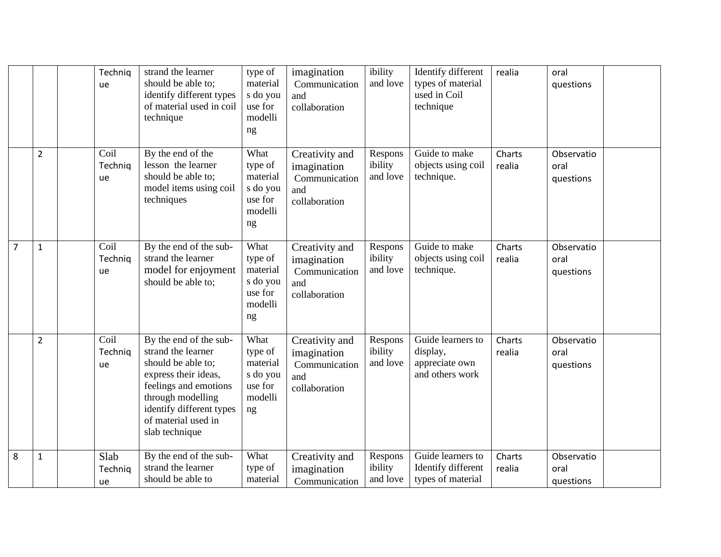|                |                | Technig<br>ue         | strand the learner<br>should be able to;<br>identify different types<br>of material used in coil<br>technique                                                                                                 | type of<br>material<br>s do you<br>use for<br>modelli<br>ng         | imagination<br>Communication<br>and<br>collaboration                   | ibility<br>and love            | Identify different<br>types of material<br>used in Coil<br>technique | realia           | oral<br>questions               |  |
|----------------|----------------|-----------------------|---------------------------------------------------------------------------------------------------------------------------------------------------------------------------------------------------------------|---------------------------------------------------------------------|------------------------------------------------------------------------|--------------------------------|----------------------------------------------------------------------|------------------|---------------------------------|--|
|                | $\overline{2}$ | Coil<br>Technig<br>ue | By the end of the<br>lesson the learner<br>should be able to;<br>model items using coil<br>techniques                                                                                                         | What<br>type of<br>material<br>s do you<br>use for<br>modelli<br>ng | Creativity and<br>imagination<br>Communication<br>and<br>collaboration | Respons<br>ibility<br>and love | Guide to make<br>objects using coil<br>technique.                    | Charts<br>realia | Observatio<br>oral<br>questions |  |
| $\overline{7}$ | $\mathbf{1}$   | Coil<br>Techniq<br>ue | By the end of the sub-<br>strand the learner<br>model for enjoyment<br>should be able to;                                                                                                                     | What<br>type of<br>material<br>s do you<br>use for<br>modelli<br>ng | Creativity and<br>imagination<br>Communication<br>and<br>collaboration | Respons<br>ibility<br>and love | Guide to make<br>objects using coil<br>technique.                    | Charts<br>realia | Observatio<br>oral<br>questions |  |
|                | $\overline{2}$ | Coil<br>Technig<br>ue | By the end of the sub-<br>strand the learner<br>should be able to;<br>express their ideas,<br>feelings and emotions<br>through modelling<br>identify different types<br>of material used in<br>slab technique | What<br>type of<br>material<br>s do you<br>use for<br>modelli<br>ng | Creativity and<br>imagination<br>Communication<br>and<br>collaboration | Respons<br>ibility<br>and love | Guide learners to<br>display,<br>appreciate own<br>and others work   | Charts<br>realia | Observatio<br>oral<br>questions |  |
| 8              | $\mathbf{1}$   | Slab<br>Techniq<br>ue | By the end of the sub-<br>strand the learner<br>should be able to                                                                                                                                             | What<br>type of<br>material                                         | Creativity and<br>imagination<br>Communication                         | Respons<br>ibility<br>and love | Guide learners to<br>Identify different<br>types of material         | Charts<br>realia | Observatio<br>oral<br>questions |  |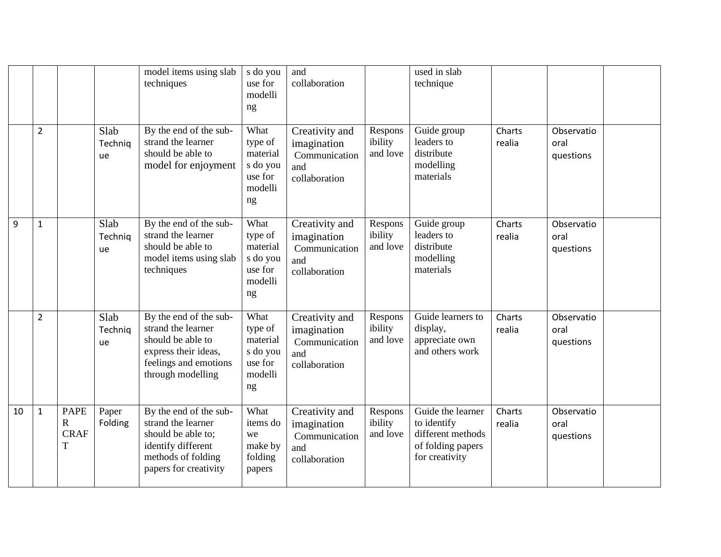|    |                |                                                |                       | model items using slab<br>techniques                                                                                                    | s do you<br>use for<br>modelli<br>ng                                | and<br>collaboration                                                   |                                | used in slab<br>technique                                                                    |                  |                                 |  |
|----|----------------|------------------------------------------------|-----------------------|-----------------------------------------------------------------------------------------------------------------------------------------|---------------------------------------------------------------------|------------------------------------------------------------------------|--------------------------------|----------------------------------------------------------------------------------------------|------------------|---------------------------------|--|
|    | $\overline{2}$ |                                                | Slab<br>Technig<br>ue | By the end of the sub-<br>strand the learner<br>should be able to<br>model for enjoyment                                                | What<br>type of<br>material<br>s do you<br>use for<br>modelli<br>ng | Creativity and<br>imagination<br>Communication<br>and<br>collaboration | Respons<br>ibility<br>and love | Guide group<br>leaders to<br>distribute<br>modelling<br>materials                            | Charts<br>realia | Observatio<br>oral<br>questions |  |
| 9  | $\mathbf{1}$   |                                                | Slab<br>Techniq<br>ue | By the end of the sub-<br>strand the learner<br>should be able to<br>model items using slab<br>techniques                               | What<br>type of<br>material<br>s do you<br>use for<br>modelli<br>ng | Creativity and<br>imagination<br>Communication<br>and<br>collaboration | Respons<br>ibility<br>and love | Guide group<br>leaders to<br>distribute<br>modelling<br>materials                            | Charts<br>realia | Observatio<br>oral<br>questions |  |
|    | $\overline{2}$ |                                                | Slab<br>Technig<br>ue | By the end of the sub-<br>strand the learner<br>should be able to<br>express their ideas,<br>feelings and emotions<br>through modelling | What<br>type of<br>material<br>s do you<br>use for<br>modelli<br>ng | Creativity and<br>imagination<br>Communication<br>and<br>collaboration | Respons<br>ibility<br>and love | Guide learners to<br>display,<br>appreciate own<br>and others work                           | Charts<br>realia | Observatio<br>oral<br>questions |  |
| 10 | $\mathbf{1}$   | <b>PAPE</b><br>$\mathbf R$<br><b>CRAF</b><br>T | Paper<br>Folding      | By the end of the sub-<br>strand the learner<br>should be able to;<br>identify different<br>methods of folding<br>papers for creativity | What<br>items do<br>we<br>make by<br>folding<br>papers              | Creativity and<br>imagination<br>Communication<br>and<br>collaboration | Respons<br>ibility<br>and love | Guide the learner<br>to identify<br>different methods<br>of folding papers<br>for creativity | Charts<br>realia | Observatio<br>oral<br>questions |  |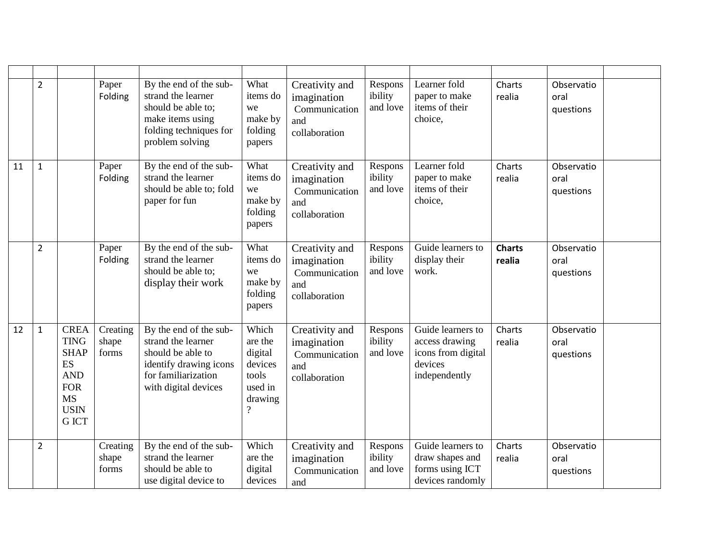|    | $\overline{2}$ |                                                                                                                               | Paper<br>Folding           | By the end of the sub-<br>strand the learner<br>should be able to:<br>make items using<br>folding techniques for<br>problem solving        | What<br>items do<br>we<br>make by<br>folding<br>papers                                            | Creativity and<br>imagination<br>Communication<br>and<br>collaboration | Respons<br>ibility<br>and love | Learner fold<br>paper to make<br>items of their<br>choice,                            | Charts<br>realia        | Observatio<br>oral<br>questions |  |
|----|----------------|-------------------------------------------------------------------------------------------------------------------------------|----------------------------|--------------------------------------------------------------------------------------------------------------------------------------------|---------------------------------------------------------------------------------------------------|------------------------------------------------------------------------|--------------------------------|---------------------------------------------------------------------------------------|-------------------------|---------------------------------|--|
| 11 | $\mathbf{1}$   |                                                                                                                               | Paper<br>Folding           | By the end of the sub-<br>strand the learner<br>should be able to; fold<br>paper for fun                                                   | What<br>items do<br>we<br>make by<br>folding<br>papers                                            | Creativity and<br>imagination<br>Communication<br>and<br>collaboration | Respons<br>ibility<br>and love | Learner fold<br>paper to make<br>items of their<br>choice,                            | Charts<br>realia        | Observatio<br>oral<br>questions |  |
|    | $\overline{2}$ |                                                                                                                               | Paper<br>Folding           | By the end of the sub-<br>strand the learner<br>should be able to;<br>display their work                                                   | What<br>items do<br>we<br>make by<br>folding<br>papers                                            | Creativity and<br>imagination<br>Communication<br>and<br>collaboration | Respons<br>ibility<br>and love | Guide learners to<br>display their<br>work.                                           | <b>Charts</b><br>realia | Observatio<br>oral<br>questions |  |
| 12 | $\mathbf{1}$   | <b>CREA</b><br><b>TING</b><br><b>SHAP</b><br><b>ES</b><br><b>AND</b><br><b>FOR</b><br><b>MS</b><br><b>USIN</b><br><b>GICT</b> | Creating<br>shape<br>forms | By the end of the sub-<br>strand the learner<br>should be able to<br>identify drawing icons<br>for familiarization<br>with digital devices | Which<br>are the<br>digital<br>devices<br>tools<br>used in<br>drawing<br>$\overline{\mathcal{L}}$ | Creativity and<br>imagination<br>Communication<br>and<br>collaboration | Respons<br>ibility<br>and love | Guide learners to<br>access drawing<br>icons from digital<br>devices<br>independently | Charts<br>realia        | Observatio<br>oral<br>questions |  |
|    | $\overline{2}$ |                                                                                                                               | Creating<br>shape<br>forms | By the end of the sub-<br>strand the learner<br>should be able to<br>use digital device to                                                 | Which<br>are the<br>digital<br>devices                                                            | Creativity and<br>imagination<br>Communication<br>and                  | Respons<br>ibility<br>and love | Guide learners to<br>draw shapes and<br>forms using ICT<br>devices randomly           | Charts<br>realia        | Observatio<br>oral<br>questions |  |